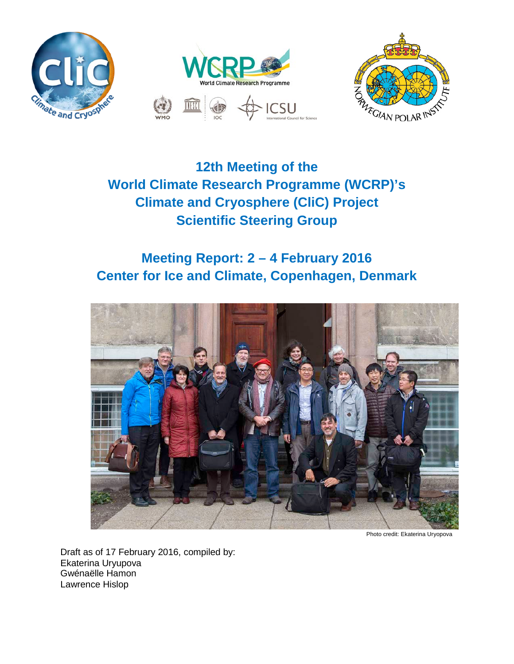



# **12th Meeting of the World Climate Research Programme (WCRP)'s Climate and Cryosphere (CliC) Project Scientific Steering Group**

# **Meeting Report: 2 – 4 February 2016 Center for Ice and Climate, Copenhagen, Denmark**



Photo credit: Ekaterina Uryopova

Draft as of 17 February 2016, compiled by: Ekaterina Uryupova Gwénaëlle Hamon Lawrence Hislop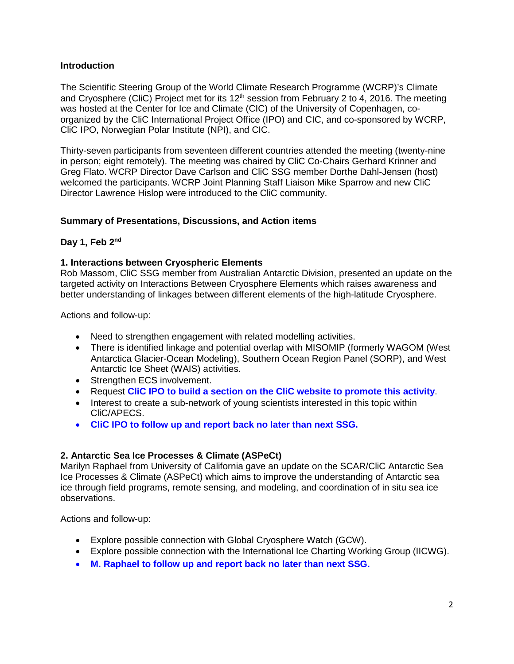## **Introduction**

The Scientific Steering Group of the World Climate Research Programme (WCRP)'s Climate and Cryosphere (CliC) Project met for its  $12<sup>th</sup>$  session from February 2 to 4, 2016. The meeting was hosted at the Center for Ice and Climate (CIC) of the University of Copenhagen, coorganized by the CliC International Project Office (IPO) and CIC, and co-sponsored by WCRP, CliC IPO, Norwegian Polar Institute (NPI), and CIC.

Thirty-seven participants from seventeen different countries attended the meeting (twenty-nine in person; eight remotely). The meeting was chaired by CliC Co-Chairs Gerhard Krinner and Greg Flato. WCRP Director Dave Carlson and CliC SSG member Dorthe Dahl-Jensen (host) welcomed the participants. WCRP Joint Planning Staff Liaison Mike Sparrow and new CliC Director Lawrence Hislop were introduced to the CliC community.

## **Summary of Presentations, Discussions, and Action items**

## **Day 1, Feb 2nd**

### **1. Interactions between Cryospheric Elements**

Rob Massom, CliC SSG member from Australian Antarctic Division, presented an update on the targeted activity on Interactions Between Cryosphere Elements which raises awareness and better understanding of linkages between different elements of the high-latitude Cryosphere.

Actions and follow-up:

- Need to strengthen engagement with related modelling activities.
- There is identified linkage and potential overlap with MISOMIP (formerly WAGOM (West Antarctica Glacier-Ocean Modeling), Southern Ocean Region Panel (SORP), and West Antarctic Ice Sheet (WAIS) activities.
- Strengthen ECS involvement.
- Request **CliC IPO to build a section on the CliC website to promote this activity**.
- Interest to create a sub-network of young scientists interested in this topic within CliC/APECS.
- **CliC IPO to follow up and report back no later than next SSG.**

### **2. Antarctic Sea Ice Processes & Climate (ASPeCt)**

Marilyn Raphael from University of California gave an update on the SCAR/CliC Antarctic Sea Ice Processes & Climate (ASPeCt) which aims to improve the understanding of Antarctic sea ice through field programs, remote sensing, and modeling, and coordination of in situ sea ice observations.

- Explore possible connection with Global Cryosphere Watch (GCW).
- Explore possible connection with the International Ice Charting Working Group (IICWG).
- **M. Raphael to follow up and report back no later than next SSG.**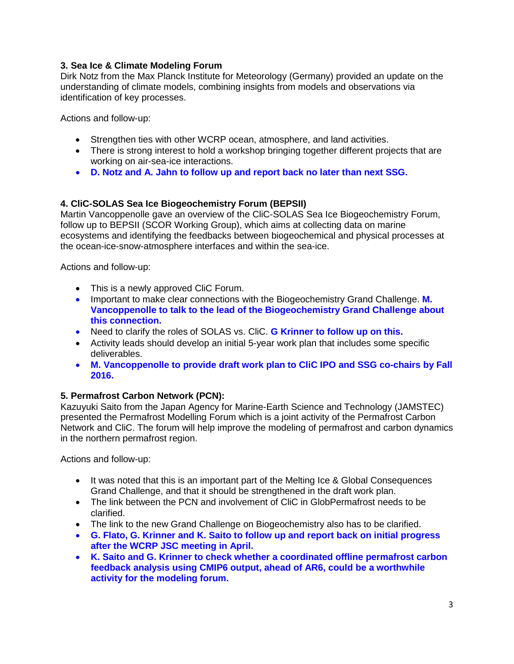# **3. Sea Ice & Climate Modeling Forum**

Dirk Notz from the Max Planck Institute for Meteorology (Germany) provided an update on the understanding of climate models, combining insights from models and observations via identification of key processes.

Actions and follow-up:

- Strengthen ties with other WCRP ocean, atmosphere, and land activities.
- There is strong interest to hold a workshop bringing together different projects that are working on air-sea-ice interactions.
- **D. Notz and A. Jahn to follow up and report back no later than next SSG.**

### **4. CliC-SOLAS Sea Ice Biogeochemistry Forum (BEPSII)**

Martin Vancoppenolle gave an overview of the CliC-SOLAS Sea Ice Biogeochemistry Forum, follow up to BEPSII (SCOR Working Group), which aims at collecting data on marine ecosystems and identifying the feedbacks between biogeochemical and physical processes at the ocean-ice-snow-atmosphere interfaces and within the sea-ice.

Actions and follow-up:

- This is a newly approved CliC Forum.
- Important to make clear connections with the Biogeochemistry Grand Challenge. **M. Vancoppenolle to talk to the lead of the Biogeochemistry Grand Challenge about this connection.**
- Need to clarify the roles of SOLAS vs. CliC. **G Krinner to follow up on this.**
- Activity leads should develop an initial 5-year work plan that includes some specific deliverables.
- **M. Vancoppenolle to provide draft work plan to CliC IPO and SSG co-chairs by Fall 2016.**

### **5. Permafrost Carbon Network (PCN):**

Kazuyuki Saito from the Japan Agency for Marine-Earth Science and Technology (JAMSTEC) presented the Permafrost Modelling Forum which is a joint activity of the Permafrost Carbon Network and CliC. The forum will help improve the modeling of permafrost and carbon dynamics in the northern permafrost region.

- It was noted that this is an important part of the Melting Ice & Global Consequences Grand Challenge, and that it should be strengthened in the draft work plan.
- The link between the PCN and involvement of CliC in GlobPermafrost needs to be clarified.
- The link to the new Grand Challenge on Biogeochemistry also has to be clarified.
- **G. Flato, G. Krinner and K. Saito to follow up and report back on initial progress after the WCRP JSC meeting in April.**
- **K. Saito and G. Krinner to check whether a coordinated offline permafrost carbon feedback analysis using CMIP6 output, ahead of AR6, could be a worthwhile activity for the modeling forum.**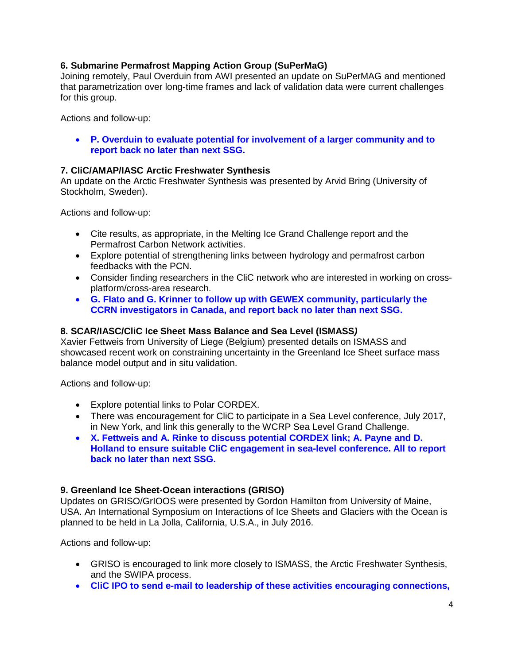## **6. Submarine Permafrost Mapping Action Group (SuPerMaG)**

Joining remotely, Paul Overduin from AWI presented an update on SuPerMAG and mentioned that parametrization over long-time frames and lack of validation data were current challenges for this group.

Actions and follow-up:

• **P. Overduin to evaluate potential for involvement of a larger community and to report back no later than next SSG.**

### **7. CliC/AMAP/IASC Arctic Freshwater Synthesis**

An update on the Arctic Freshwater Synthesis was presented by Arvid Bring (University of Stockholm, Sweden).

Actions and follow-up:

- Cite results, as appropriate, in the Melting Ice Grand Challenge report and the Permafrost Carbon Network activities.
- Explore potential of strengthening links between hydrology and permafrost carbon feedbacks with the PCN.
- Consider finding researchers in the CliC network who are interested in working on crossplatform/cross-area research.
- **G. Flato and G. Krinner to follow up with GEWEX community, particularly the CCRN investigators in Canada, and report back no later than next SSG.**

#### **8. SCAR/IASC/CliC Ice Sheet Mass Balance and Sea Level (ISMASS***)*

Xavier Fettweis from University of Liege (Belgium) presented details on ISMASS and showcased recent work on constraining uncertainty in the Greenland Ice Sheet surface mass balance model output and in situ validation.

Actions and follow-up:

- Explore potential links to Polar CORDEX.
- There was encouragement for CliC to participate in a Sea Level conference, July 2017, in New York, and link this generally to the WCRP Sea Level Grand Challenge.
- **X. Fettweis and A. Rinke to discuss potential CORDEX link; A. Payne and D. Holland to ensure suitable CliC engagement in sea-level conference. All to report back no later than next SSG.**

### **9. Greenland Ice Sheet-Ocean interactions (GRISO)**

Updates on GRISO/GrIOOS were presented by Gordon Hamilton from University of Maine, USA. An International Symposium on Interactions of Ice Sheets and Glaciers with the Ocean is planned to be held in La Jolla, California, U.S.A., in July 2016.

- GRISO is encouraged to link more closely to ISMASS, the Arctic Freshwater Synthesis, and the SWIPA process.
- **CliC IPO to send e-mail to leadership of these activities encouraging connections,**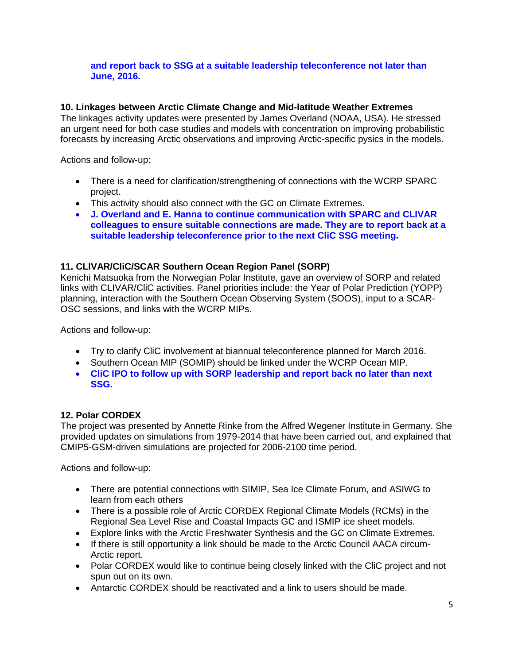## **and report back to SSG at a suitable leadership teleconference not later than June, 2016.**

## **10. Linkages between Arctic Climate Change and Mid-latitude Weather Extremes**

The linkages activity updates were presented by James Overland (NOAA, USA). He stressed an urgent need for both case studies and models with concentration on improving probabilistic forecasts by increasing Arctic observations and improving Arctic-specific pysics in the models.

Actions and follow-up:

- There is a need for clarification/strengthening of connections with the WCRP SPARC project.
- This activity should also connect with the GC on Climate Extremes.
- **J. Overland and E. Hanna to continue communication with SPARC and CLIVAR colleagues to ensure suitable connections are made. They are to report back at a suitable leadership teleconference prior to the next CliC SSG meeting.**

### **11. CLIVAR/CliC/SCAR Southern Ocean Region Panel (SORP)**

Kenichi Matsuoka from the Norwegian Polar Institute, gave an overview of SORP and related links with CLIVAR/CliC activities. Panel priorities include: the Year of Polar Prediction (YOPP) planning, interaction with the Southern Ocean Observing System (SOOS), input to a SCAR-OSC sessions, and links with the WCRP MIPs.

Actions and follow-up:

- Try to clarify CliC involvement at biannual teleconference planned for March 2016.
- Southern Ocean MIP (SOMIP) should be linked under the WCRP Ocean MIP.
- **CliC IPO to follow up with SORP leadership and report back no later than next SSG.**

### **12. Polar CORDEX**

The project was presented by Annette Rinke from the Alfred Wegener Institute in Germany. She provided updates on simulations from 1979-2014 that have been carried out, and explained that CMIP5-GSM-driven simulations are projected for 2006-2100 time period.

- There are potential connections with SIMIP, Sea Ice Climate Forum, and ASIWG to learn from each others
- There is a possible role of Arctic CORDEX Regional Climate Models (RCMs) in the Regional Sea Level Rise and Coastal Impacts GC and ISMIP ice sheet models.
- Explore links with the Arctic Freshwater Synthesis and the GC on Climate Extremes.
- If there is still opportunity a link should be made to the Arctic Council AACA circum-Arctic report.
- Polar CORDEX would like to continue being closely linked with the CliC project and not spun out on its own.
- Antarctic CORDEX should be reactivated and a link to users should be made.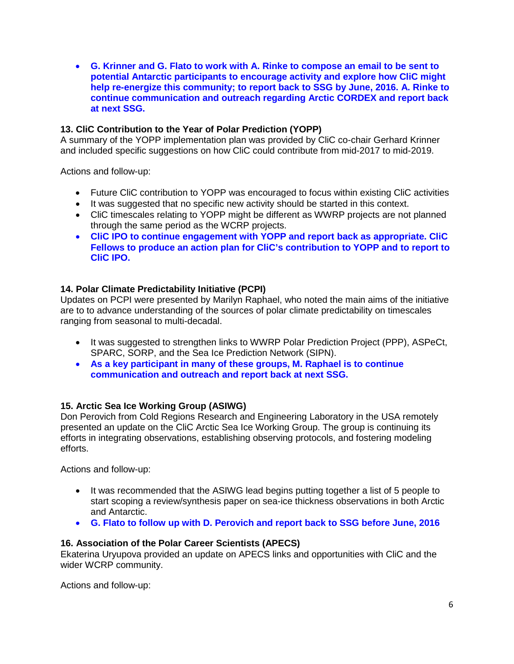• **G. Krinner and G. Flato to work with A. Rinke to compose an email to be sent to potential Antarctic participants to encourage activity and explore how CliC might help re-energize this community; to report back to SSG by June, 2016. A. Rinke to continue communication and outreach regarding Arctic CORDEX and report back at next SSG.**

### **13. CliC Contribution to the Year of Polar Prediction (YOPP)**

A summary of the YOPP implementation plan was provided by CliC co-chair Gerhard Krinner and included specific suggestions on how CliC could contribute from mid-2017 to mid-2019.

Actions and follow-up:

- Future CliC contribution to YOPP was encouraged to focus within existing CliC activities
- It was suggested that no specific new activity should be started in this context.
- CliC timescales relating to YOPP might be different as WWRP projects are not planned through the same period as the WCRP projects.
- **CliC IPO to continue engagement with YOPP and report back as appropriate. CliC Fellows to produce an action plan for CliC's contribution to YOPP and to report to CliC IPO.**

### **14. Polar Climate Predictability Initiative (PCPI)**

Updates on PCPI were presented by Marilyn Raphael, who noted the main aims of the initiative are to to advance understanding of the sources of polar climate predictability on timescales ranging from seasonal to multi-decadal.

- It was suggested to strengthen links to WWRP Polar Prediction Project (PPP), ASPeCt, SPARC, SORP, and the Sea Ice Prediction Network (SIPN).
- **As a key participant in many of these groups, M. Raphael is to continue communication and outreach and report back at next SSG.**

### **15. Arctic Sea Ice Working Group (ASIWG)**

Don Perovich from Cold Regions Research and Engineering Laboratory in the USA remotely presented an update on the CliC Arctic Sea Ice Working Group. The group is continuing its efforts in integrating observations, establishing observing protocols, and fostering modeling efforts.

Actions and follow-up:

- It was recommended that the ASIWG lead begins putting together a list of 5 people to start scoping a review/synthesis paper on sea-ice thickness observations in both Arctic and Antarctic.
- **G. Flato to follow up with D. Perovich and report back to SSG before June, 2016**

#### **16. Association of the Polar Career Scientists (APECS)**

Ekaterina Uryupova provided an update on APECS links and opportunities with CliC and the wider WCRP community.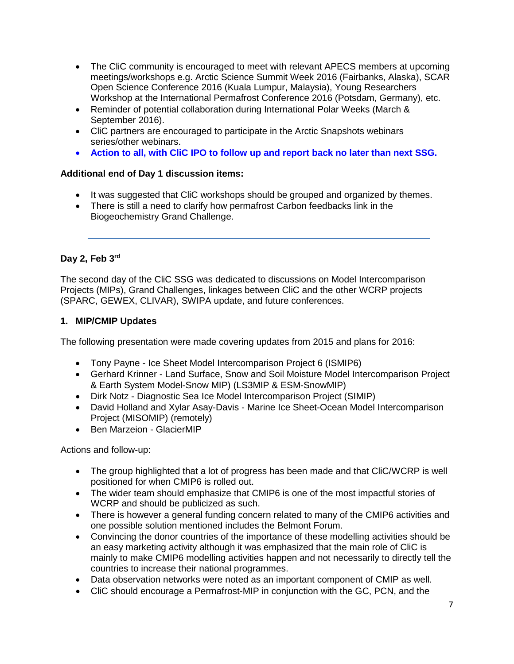- The CliC community is encouraged to meet with relevant APECS members at upcoming meetings/workshops e.g. Arctic Science Summit Week 2016 (Fairbanks, Alaska), SCAR Open Science Conference 2016 (Kuala Lumpur, Malaysia), Young Researchers Workshop at the International Permafrost Conference 2016 (Potsdam, Germany), etc.
- Reminder of potential collaboration during International Polar Weeks (March & September 2016).
- CliC partners are encouraged to participate in the Arctic Snapshots webinars series/other webinars.
- **Action to all, with CliC IPO to follow up and report back no later than next SSG.**

## **Additional end of Day 1 discussion items:**

- It was suggested that CliC workshops should be grouped and organized by themes.
- There is still a need to clarify how permafrost Carbon feedbacks link in the Biogeochemistry Grand Challenge.

## **Day 2, Feb 3rd**

The second day of the CliC SSG was dedicated to discussions on Model Intercomparison Projects (MIPs), Grand Challenges, linkages between CliC and the other WCRP projects (SPARC, GEWEX, CLIVAR), SWIPA update, and future conferences.

## **1. MIP/CMIP Updates**

The following presentation were made covering updates from 2015 and plans for 2016:

- Tony Payne Ice Sheet Model Intercomparison Project 6 (ISMIP6)
- Gerhard Krinner Land Surface, Snow and Soil Moisture Model Intercomparison Project & Earth System Model-Snow MIP) (LS3MIP & ESM-SnowMIP)
- Dirk Notz Diagnostic Sea Ice Model Intercomparison Project (SIMIP)
- David Holland and Xylar Asay-Davis Marine Ice Sheet-Ocean Model Intercomparison Project (MISOMIP) (remotely)
- Ben Marzeion GlacierMIP

- The group highlighted that a lot of progress has been made and that CliC/WCRP is well positioned for when CMIP6 is rolled out.
- The wider team should emphasize that CMIP6 is one of the most impactful stories of WCRP and should be publicized as such.
- There is however a general funding concern related to many of the CMIP6 activities and one possible solution mentioned includes the Belmont Forum.
- Convincing the donor countries of the importance of these modelling activities should be an easy marketing activity although it was emphasized that the main role of CliC is mainly to make CMIP6 modelling activities happen and not necessarily to directly tell the countries to increase their national programmes.
- Data observation networks were noted as an important component of CMIP as well.
- CliC should encourage a Permafrost-MIP in conjunction with the GC, PCN, and the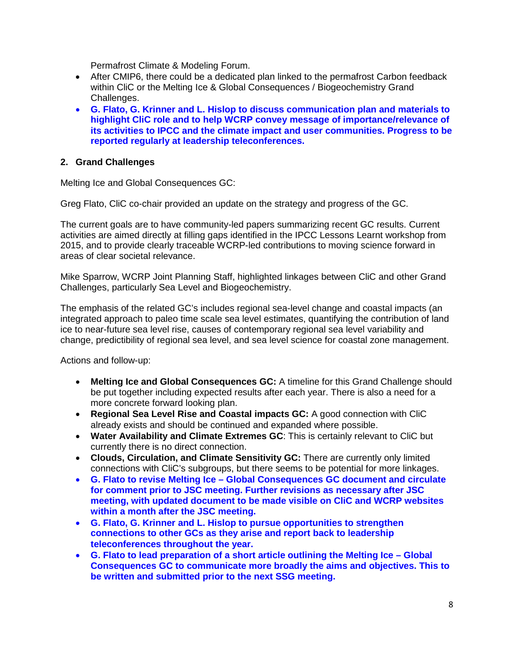Permafrost Climate & Modeling Forum.

- After CMIP6, there could be a dedicated plan linked to the permafrost Carbon feedback within CliC or the Melting Ice & Global Consequences / Biogeochemistry Grand Challenges.
- **G. Flato, G. Krinner and L. Hislop to discuss communication plan and materials to highlight CliC role and to help WCRP convey message of importance/relevance of its activities to IPCC and the climate impact and user communities. Progress to be reported regularly at leadership teleconferences.**

#### **2. Grand Challenges**

Melting Ice and Global Consequences GC:

Greg Flato, CliC co-chair provided an update on the strategy and progress of the GC.

The current goals are to have community-led papers summarizing recent GC results. Current activities are aimed directly at filling gaps identified in the IPCC Lessons Learnt workshop from 2015, and to provide clearly traceable WCRP-led contributions to moving science forward in areas of clear societal relevance.

Mike Sparrow, WCRP Joint Planning Staff, highlighted linkages between CliC and other Grand Challenges, particularly Sea Level and Biogeochemistry.

The emphasis of the related GC's includes regional sea-level change and coastal impacts (an integrated approach to paleo time scale sea level estimates, quantifying the contribution of land ice to near-future sea level rise, causes of contemporary regional sea level variability and change, predictibility of regional sea level, and sea level science for coastal zone management.

- **Melting Ice and Global Consequences GC:** A timeline for this Grand Challenge should be put together including expected results after each year. There is also a need for a more concrete forward looking plan.
- **Regional Sea Level Rise and Coastal impacts GC:** A good connection with CliC already exists and should be continued and expanded where possible.
- **Water Availability and Climate Extremes GC**: This is certainly relevant to CliC but currently there is no direct connection.
- **Clouds, Circulation, and Climate Sensitivity GC:** There are currently only limited connections with CliC's subgroups, but there seems to be potential for more linkages.
- **G. Flato to revise Melting Ice – Global Consequences GC document and circulate for comment prior to JSC meeting. Further revisions as necessary after JSC meeting, with updated document to be made visible on CliC and WCRP websites within a month after the JSC meeting.**
- **G. Flato, G. Krinner and L. Hislop to pursue opportunities to strengthen connections to other GCs as they arise and report back to leadership teleconferences throughout the year.**
- **G. Flato to lead preparation of a short article outlining the Melting Ice – Global Consequences GC to communicate more broadly the aims and objectives. This to be written and submitted prior to the next SSG meeting.**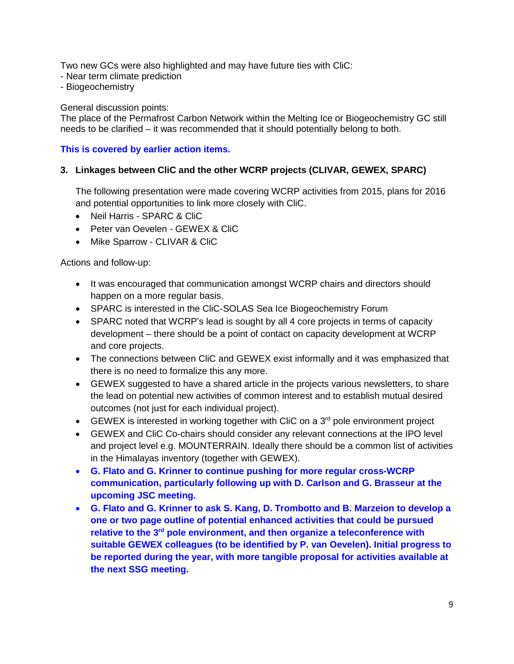Two new GCs were also highlighted and may have future ties with CliC:

- Near term climate prediction
- Biogeochemistry

#### General discussion points:

The place of the Permafrost Carbon Network within the Melting Ice or Biogeochemistry GC still needs to be clarified – it was recommended that it should potentially belong to both.

### **This is covered by earlier action items.**

### **3. Linkages between CliC and the other WCRP projects (CLIVAR, GEWEX, SPARC)**

The following presentation were made covering WCRP activities from 2015, plans for 2016 and potential opportunities to link more closely with CliC.

- Neil Harris SPARC & CliC
- Peter van Oevelen GEWEX & CliC
- Mike Sparrow CLIVAR & CliC

- It was encouraged that communication amongst WCRP chairs and directors should happen on a more regular basis.
- SPARC is interested in the CliC-SOLAS Sea Ice Biogeochemistry Forum
- SPARC noted that WCRP's lead is sought by all 4 core projects in terms of capacity development – there should be a point of contact on capacity development at WCRP and core projects.
- The connections between CliC and GEWEX exist informally and it was emphasized that there is no need to formalize this any more.
- GEWEX suggested to have a shared article in the projects various newsletters, to share the lead on potential new activities of common interest and to establish mutual desired outcomes (not just for each individual project).
- GEWEX is interested in working together with CliC on a  $3<sup>rd</sup>$  pole environment project
- GEWEX and CliC Co-chairs should consider any relevant connections at the IPO level and project level e.g. MOUNTERRAIN. Ideally there should be a common list of activities in the Himalayas inventory (together with GEWEX).
- **G. Flato and G. Krinner to continue pushing for more regular cross-WCRP communication, particularly following up with D. Carlson and G. Brasseur at the upcoming JSC meeting.**
- **G. Flato and G. Krinner to ask S. Kang, D. Trombotto and B. Marzeion to develop a one or two page outline of potential enhanced activities that could be pursued relative to the 3rd pole environment, and then organize a teleconference with suitable GEWEX colleagues (to be identified by P. van Oevelen). Initial progress to be reported during the year, with more tangible proposal for activities available at the next SSG meeting.**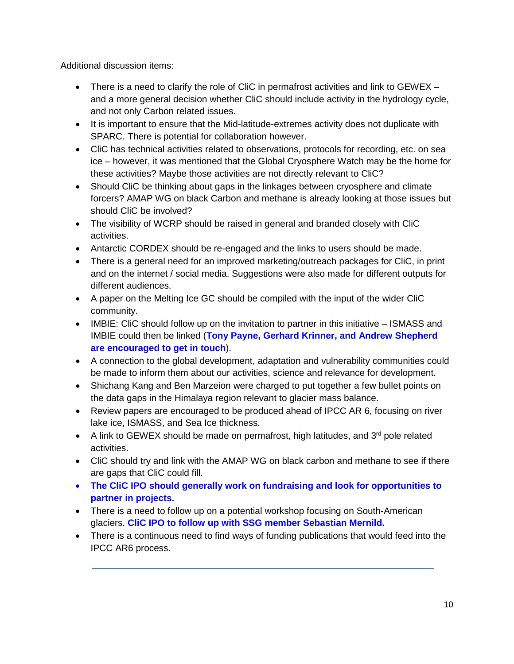Additional discussion items:

- There is a need to clarify the role of CliC in permafrost activities and link to GEWEX and a more general decision whether CliC should include activity in the hydrology cycle, and not only Carbon related issues.
- It is important to ensure that the Mid-latitude-extremes activity does not duplicate with SPARC. There is potential for collaboration however.
- CliC has technical activities related to observations, protocols for recording, etc. on sea ice – however, it was mentioned that the Global Cryosphere Watch may be the home for these activities? Maybe those activities are not directly relevant to CliC?
- Should CliC be thinking about gaps in the linkages between cryosphere and climate forcers? AMAP WG on black Carbon and methane is already looking at those issues but should CliC be involved?
- The visibility of WCRP should be raised in general and branded closely with CliC activities.
- Antarctic CORDEX should be re-engaged and the links to users should be made.
- There is a general need for an improved marketing/outreach packages for CliC, in print and on the internet / social media. Suggestions were also made for different outputs for different audiences.
- A paper on the Melting Ice GC should be compiled with the input of the wider CliC community.
- IMBIE: CliC should follow up on the invitation to partner in this initiative ISMASS and IMBIE could then be linked (**Tony Payne, Gerhard Krinner, and Andrew Shepherd are encouraged to get in touch**).
- A connection to the global development, adaptation and vulnerability communities could be made to inform them about our activities, science and relevance for development.
- Shichang Kang and Ben Marzeion were charged to put together a few bullet points on the data gaps in the Himalaya region relevant to glacier mass balance.
- Review papers are encouraged to be produced ahead of IPCC AR 6, focusing on river lake ice, ISMASS, and Sea Ice thickness.
- A link to GEWEX should be made on permafrost, high latitudes, and  $3<sup>rd</sup>$  pole related activities.
- CliC should try and link with the AMAP WG on black carbon and methane to see if there are gaps that CliC could fill.
- **The CliC IPO should generally work on fundraising and look for opportunities to partner in projects.**
- There is a need to follow up on a potential workshop focusing on South-American glaciers. **CliC IPO to follow up with SSG member Sebastian Mernild.**
- There is a continuous need to find ways of funding publications that would feed into the IPCC AR6 process.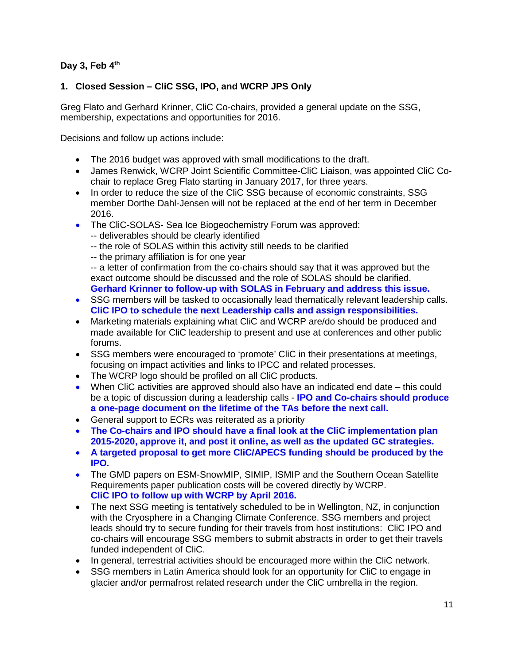# **Day 3, Feb 4th**

# **1. Closed Session – CliC SSG, IPO, and WCRP JPS Only**

Greg Flato and Gerhard Krinner, CliC Co-chairs, provided a general update on the SSG, membership, expectations and opportunities for 2016.

Decisions and follow up actions include:

- The 2016 budget was approved with small modifications to the draft.
- James Renwick, WCRP Joint Scientific Committee-CliC Liaison, was appointed CliC Cochair to replace Greg Flato starting in January 2017, for three years.
- In order to reduce the size of the CliC SSG because of economic constraints, SSG member Dorthe Dahl-Jensen will not be replaced at the end of her term in December 2016.
- The CliC-SOLAS- Sea Ice Biogeochemistry Forum was approved:
	- -- deliverables should be clearly identified
	- -- the role of SOLAS within this activity still needs to be clarified
	- -- the primary affiliation is for one year

-- a letter of confirmation from the co-chairs should say that it was approved but the exact outcome should be discussed and the role of SOLAS should be clarified. **Gerhard Krinner to follow-up with SOLAS in February and address this issue.**

- SSG members will be tasked to occasionally lead thematically relevant leadership calls. **CliC IPO to schedule the next Leadership calls and assign responsibilities.**
- Marketing materials explaining what CliC and WCRP are/do should be produced and made available for CliC leadership to present and use at conferences and other public forums.
- SSG members were encouraged to 'promote' CliC in their presentations at meetings, focusing on impact activities and links to IPCC and related processes.
- The WCRP logo should be profiled on all CliC products.
- When CliC activities are approved should also have an indicated end date this could be a topic of discussion during a leadership calls - **IPO and Co-chairs should produce a one-page document on the lifetime of the TAs before the next call.**
- General support to ECRs was reiterated as a priority
- **The Co-chairs and IPO should have a final look at the CliC implementation plan 2015-2020, approve it, and post it online, as well as the updated GC strategies.**
- **A targeted proposal to get more CliC/APECS funding should be produced by the IPO.**
- The GMD papers on ESM-SnowMIP, SIMIP, ISMIP and the Southern Ocean Satellite Requirements paper publication costs will be covered directly by WCRP. **CliC IPO to follow up with WCRP by April 2016.**
- The next SSG meeting is tentatively scheduled to be in Wellington, NZ, in conjunction with the Cryosphere in a Changing Climate Conference. SSG members and project leads should try to secure funding for their travels from host institutions: CliC IPO and co-chairs will encourage SSG members to submit abstracts in order to get their travels funded independent of CliC.
- In general, terrestrial activities should be encouraged more within the CliC network.
- SSG members in Latin America should look for an opportunity for CliC to engage in glacier and/or permafrost related research under the CliC umbrella in the region.